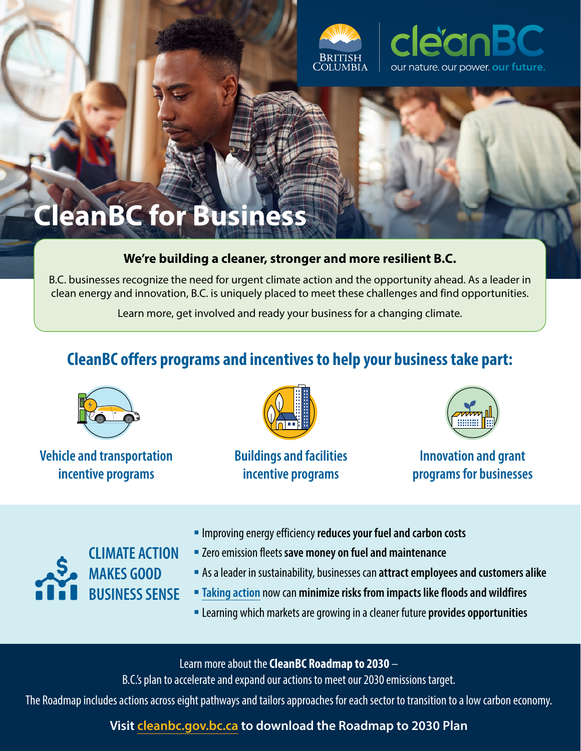

# **CleanBC for Business**

### **We're building a cleaner, stronger and more resilient B.C.**

B.C. businesses recognize the need for urgent climate action and the opportunity ahead. As a leader in clean energy and innovation, B.C. is uniquely placed to meet these challenges and find opportunities.

Learn more, get involved and ready your business for a changing climate.

## **CleanBC offers programs and incentives to help your business take part:**



**Vehicle and transportation incentive programs**



**Buildings and facilities incentive programs**



**Innovation and grant programs for businesses**



- Improving energy efficiency **reduces your fuel and carbon costs**
- Zero emission fleets **save money on fuel and maintenance**
- As a leader in sustainability, businesses can **attract employees and customers alike**
- **[Taking action](https://www2.gov.bc.ca/assets/gov/environment/climate-change/adaptation/resources/cpas_leaflets_2021-business.pdf)** now can **minimize risks from impacts like floods and wildfires**
- Learning which markets are growing in a cleaner future **provides opportunities**

Learn more about the **CleanBC Roadmap to 2030** –

B.C.'s plan to accelerate and expand our actions to meet our 2030 emissions target.

The Roadmap includes actions across eight pathways and tailors approaches for each sector to transition to a low carbon economy.

**Visit [cleanbc.gov.bc.ca](http://cleanbc.gov.bc.ca) to download the Roadmap to 2030 Plan**